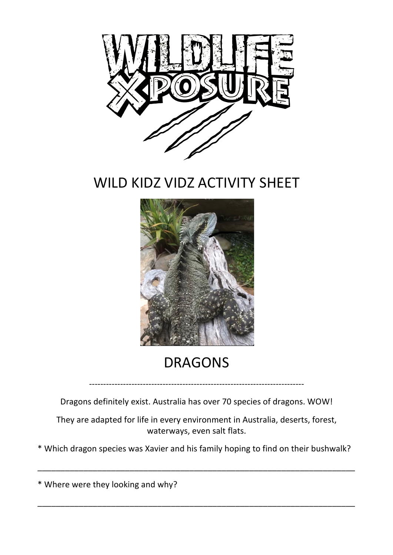

WILD KIDZ VIDZ ACTIVITY SHEET



## DRAGONS

----------------------------------------------------------------------------

Dragons definitely exist. Australia has over 70 species of dragons. WOW!

They are adapted for life in every environment in Australia, deserts, forest, waterways, even salt flats.

\* Which dragon species was Xavier and his family hoping to find on their bushwalk?

\_\_\_\_\_\_\_\_\_\_\_\_\_\_\_\_\_\_\_\_\_\_\_\_\_\_\_\_\_\_\_\_\_\_\_\_\_\_\_\_\_\_\_\_\_\_\_\_\_\_\_\_\_\_\_\_\_\_\_\_\_\_\_\_\_\_\_\_\_

\_\_\_\_\_\_\_\_\_\_\_\_\_\_\_\_\_\_\_\_\_\_\_\_\_\_\_\_\_\_\_\_\_\_\_\_\_\_\_\_\_\_\_\_\_\_\_\_\_\_\_\_\_\_\_\_\_\_\_\_\_\_\_\_\_\_\_\_\_

\* Where were they looking and why?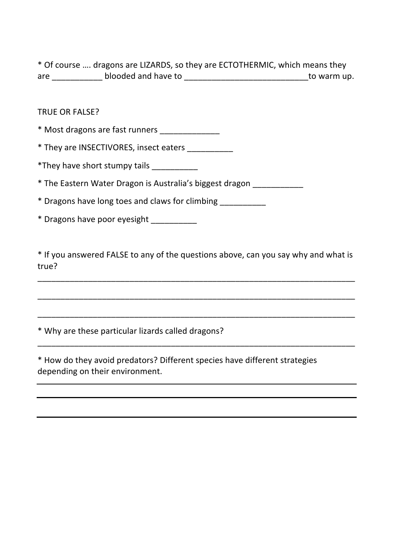\* Of course .... dragons are LIZARDS, so they are ECTOTHERMIC, which means they are \_\_\_\_\_\_\_\_\_\_\_ blooded and have to \_\_\_\_\_\_\_\_\_\_\_\_\_\_\_\_\_\_\_\_\_\_\_\_\_\_\_to warm up.

## TRUE OR FALSE?

\* Most dragons are fast runners

\* They are INSECTIVORES, insect eaters \_\_\_\_\_\_\_\_\_\_

\*They have short stumpy tails

\* The Eastern Water Dragon is Australia's biggest dragon

\* Dragons have long toes and claws for climbing

\* Dragons have poor eyesight

\* If you answered FALSE to any of the questions above, can you say why and what is true? 

\_\_\_\_\_\_\_\_\_\_\_\_\_\_\_\_\_\_\_\_\_\_\_\_\_\_\_\_\_\_\_\_\_\_\_\_\_\_\_\_\_\_\_\_\_\_\_\_\_\_\_\_\_\_\_\_\_\_\_\_\_\_\_\_\_\_\_\_\_

\_\_\_\_\_\_\_\_\_\_\_\_\_\_\_\_\_\_\_\_\_\_\_\_\_\_\_\_\_\_\_\_\_\_\_\_\_\_\_\_\_\_\_\_\_\_\_\_\_\_\_\_\_\_\_\_\_\_\_\_\_\_\_\_\_\_\_\_\_

\_\_\_\_\_\_\_\_\_\_\_\_\_\_\_\_\_\_\_\_\_\_\_\_\_\_\_\_\_\_\_\_\_\_\_\_\_\_\_\_\_\_\_\_\_\_\_\_\_\_\_\_\_\_\_\_\_\_\_\_\_\_\_\_\_\_\_\_\_

\_\_\_\_\_\_\_\_\_\_\_\_\_\_\_\_\_\_\_\_\_\_\_\_\_\_\_\_\_\_\_\_\_\_\_\_\_\_\_\_\_\_\_\_\_\_\_\_\_\_\_\_\_\_\_\_\_\_\_\_\_\_\_\_\_\_\_\_\_

\* Why are these particular lizards called dragons?

\* How do they avoid predators? Different species have different strategies depending on their environment.